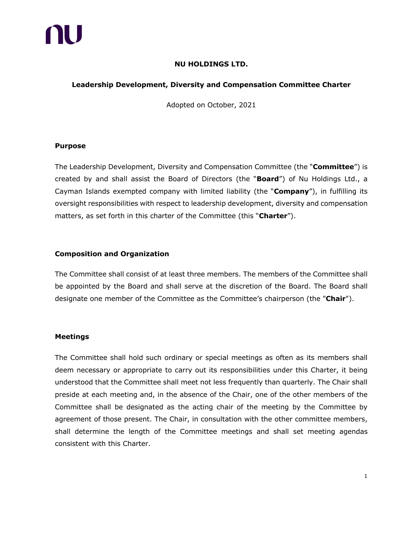

# **NU HOLDINGS LTD.**

# **Leadership Development, Diversity and Compensation Committee Charter**

Adopted on October, 2021

#### **Purpose**

The Leadership Development, Diversity and Compensation Committee (the "**Committee**") is created by and shall assist the Board of Directors (the "**Board**") of Nu Holdings Ltd., a Cayman Islands exempted company with limited liability (the "**Company**"), in fulfilling its oversight responsibilities with respect to leadership development, diversity and compensation matters, as set forth in this charter of the Committee (this "**Charter**").

#### **Composition and Organization**

The Committee shall consist of at least three members. The members of the Committee shall be appointed by the Board and shall serve at the discretion of the Board. The Board shall designate one member of the Committee as the Committee's chairperson (the "**Chair**").

#### **Meetings**

The Committee shall hold such ordinary or special meetings as often as its members shall deem necessary or appropriate to carry out its responsibilities under this Charter, it being understood that the Committee shall meet not less frequently than quarterly. The Chair shall preside at each meeting and, in the absence of the Chair, one of the other members of the Committee shall be designated as the acting chair of the meeting by the Committee by agreement of those present. The Chair, in consultation with the other committee members, shall determine the length of the Committee meetings and shall set meeting agendas consistent with this Charter.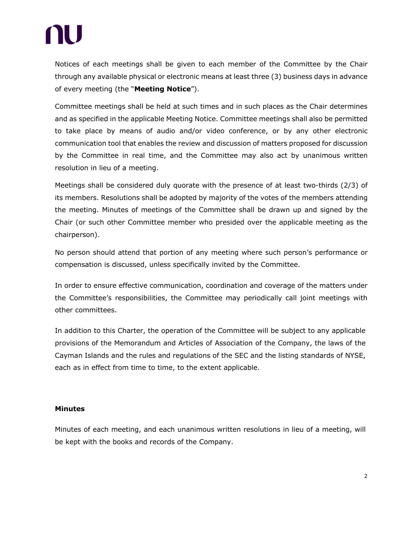# NU

Notices of each meetings shall be given to each member of the Committee by the Chair through any available physical or electronic means at least three (3) business days in advance of every meeting (the "**Meeting Notice**").

Committee meetings shall be held at such times and in such places as the Chair determines and as specified in the applicable Meeting Notice. Committee meetings shall also be permitted to take place by means of audio and/or video conference, or by any other electronic communication tool that enables the review and discussion of matters proposed for discussion by the Committee in real time, and the Committee may also act by unanimous written resolution in lieu of a meeting.

Meetings shall be considered duly quorate with the presence of at least two-thirds (2/3) of its members. Resolutions shall be adopted by majority of the votes of the members attending the meeting. Minutes of meetings of the Committee shall be drawn up and signed by the Chair (or such other Committee member who presided over the applicable meeting as the chairperson).

No person should attend that portion of any meeting where such person's performance or compensation is discussed, unless specifically invited by the Committee.

In order to ensure effective communication, coordination and coverage of the matters under the Committee's responsibilities, the Committee may periodically call joint meetings with other committees.

In addition to this Charter, the operation of the Committee will be subject to any applicable provisions of the Memorandum and Articles of Association of the Company, the laws of the Cayman Islands and the rules and regulations of the SEC and the listing standards of NYSE, each as in effect from time to time, to the extent applicable.

# **Minutes**

Minutes of each meeting, and each unanimous written resolutions in lieu of a meeting, will be kept with the books and records of the Company.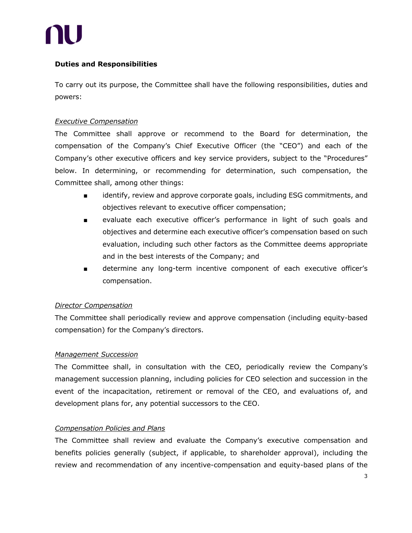

# **Duties and Responsibilities**

To carry out its purpose, the Committee shall have the following responsibilities, duties and powers:

# *Executive Compensation*

The Committee shall approve or recommend to the Board for determination, the compensation of the Company's Chief Executive Officer (the "CEO") and each of the Company's other executive officers and key service providers, subject to the "Procedures" below. In determining, or recommending for determination, such compensation, the Committee shall, among other things:

- identify, review and approve corporate goals, including ESG commitments, and objectives relevant to executive officer compensation;
- evaluate each executive officer's performance in light of such goals and objectives and determine each executive officer's compensation based on such evaluation, including such other factors as the Committee deems appropriate and in the best interests of the Company; and
- determine any long-term incentive component of each executive officer's compensation.

#### *Director Compensation*

The Committee shall periodically review and approve compensation (including equity-based compensation) for the Company's directors.

# *Management Succession*

The Committee shall, in consultation with the CEO, periodically review the Company's management succession planning, including policies for CEO selection and succession in the event of the incapacitation, retirement or removal of the CEO, and evaluations of, and development plans for, any potential successors to the CEO.

# *Compensation Policies and Plans*

The Committee shall review and evaluate the Company's executive compensation and benefits policies generally (subject, if applicable, to shareholder approval), including the review and recommendation of any incentive-compensation and equity-based plans of the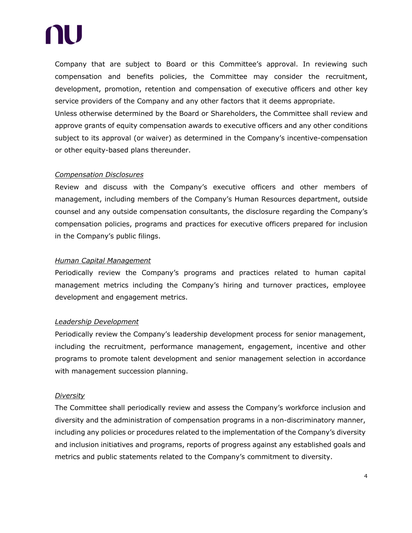# NU

Company that are subject to Board or this Committee's approval. In reviewing such compensation and benefits policies, the Committee may consider the recruitment, development, promotion, retention and compensation of executive officers and other key service providers of the Company and any other factors that it deems appropriate.

Unless otherwise determined by the Board or Shareholders, the Committee shall review and approve grants of equity compensation awards to executive officers and any other conditions subject to its approval (or waiver) as determined in the Company's incentive-compensation or other equity-based plans thereunder.

# *Compensation Disclosures*

Review and discuss with the Company's executive officers and other members of management, including members of the Company's Human Resources department, outside counsel and any outside compensation consultants, the disclosure regarding the Company's compensation policies, programs and practices for executive officers prepared for inclusion in the Company's public filings.

#### *Human Capital Management*

Periodically review the Company's programs and practices related to human capital management metrics including the Company's hiring and turnover practices, employee development and engagement metrics.

# *Leadership Development*

Periodically review the Company's leadership development process for senior management, including the recruitment, performance management, engagement, incentive and other programs to promote talent development and senior management selection in accordance with management succession planning.

#### *Diversity*

The Committee shall periodically review and assess the Company's workforce inclusion and diversity and the administration of compensation programs in a non-discriminatory manner, including any policies or procedures related to the implementation of the Company's diversity and inclusion initiatives and programs, reports of progress against any established goals and metrics and public statements related to the Company's commitment to diversity.